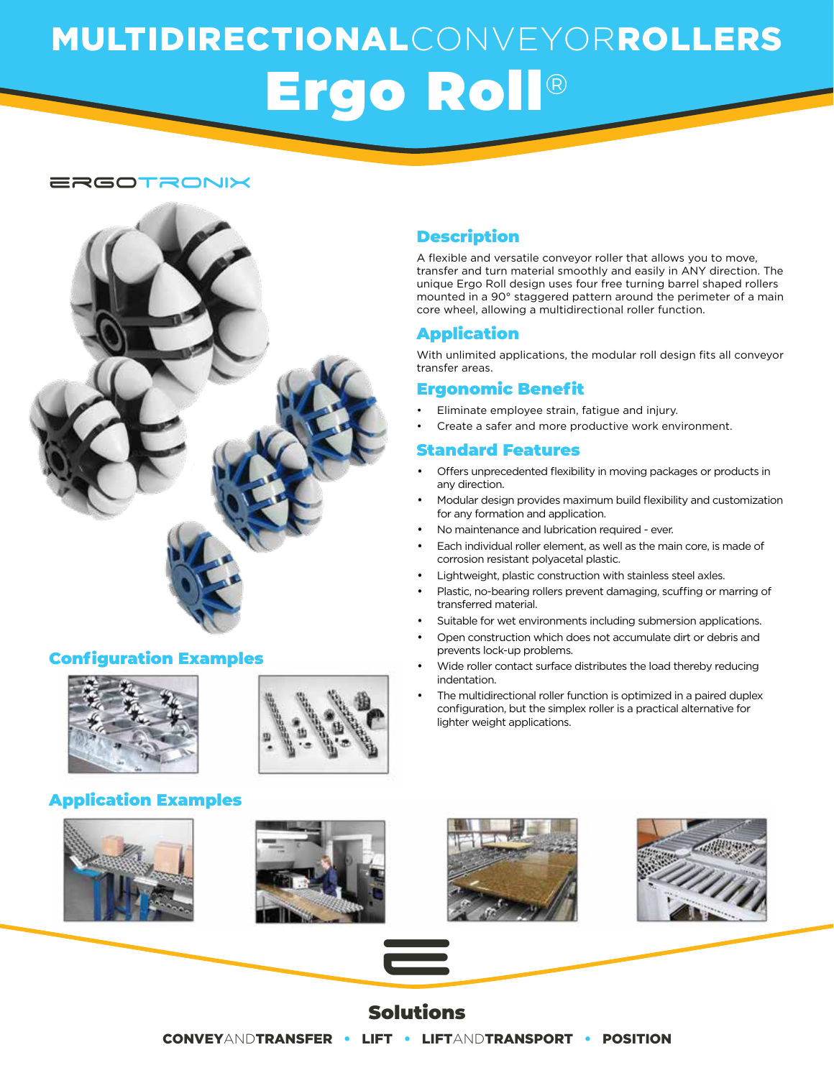# MULTIDIRECTIONALCONVEYORROLLERS Ergo Roll®

### ergotronix



# Configuration Examples





# Application Examples







The multidirectional roller function is optimized in a paired duplex configuration, but the simplex roller is a practical alternative for





# Description

A flexible and versatile conveyor roller that allows you to move, transfer and turn material smoothly and easily in ANY direction. The unique Ergo Roll design uses four free turning barrel shaped rollers mounted in a 90° staggered pattern around the perimeter of a main core wheel, allowing a multidirectional roller function.

## Application

With unlimited applications, the modular roll design fits all conveyor transfer areas.

# Ergonomic Benefit

- Eliminate employee strain, fatigue and injury.
- Create a safer and more productive work environment.

#### Standard Features

- Offers unprecedented flexibility in moving packages or products in any direction.
- Modular design provides maximum build flexibility and customization for any formation and application.
- No maintenance and lubrication required ever.
- Each individual roller element, as well as the main core, is made of corrosion resistant polyacetal plastic.
- Lightweight, plastic construction with stainless steel axles.
- Plastic, no-bearing rollers prevent damaging, scuffing or marring of transferred material.
- Suitable for wet environments including submersion applications.
- · Open construction which does not accumulate dirt or debris and prevents lock-up problems.
- Wide roller contact surface distributes the load thereby reducing indentation.
- lighter weight applications.

# Solutions